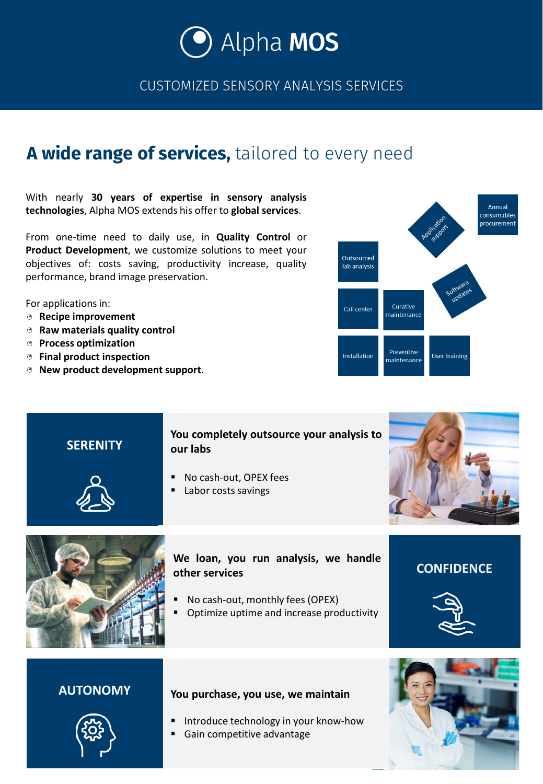

CUSTOMIZED SENSORY ANALYSIS SERVICES

# **A wide range of services,** tailored to every need

With nearly **30 years of expertise in sensory analysis technologies**, Alpha MOS extends his offer to **global services**.

From one-time need to daily use, in **Quality Control** or **Product Development**, we customize solutions to meet your objectives of: costs saving, productivity increase, quality performance, brand image preservation.

For applications in:

- **Recipe improvement**
- **Raw materials quality control**
- **Process optimization**
- **Final product inspection**
- **New product development support**.



## **SERENITY**

### **You completely outsource your analysis to our labs**

- No cash-out, OPEX fees
- Labor costs savings



**CONFIDENCE**



## **We loan, you run analysis, we handle other services**

- No cash-out, monthly fees (OPEX)
- Optimize uptime and increase productivity

# **AUTONOMY You purchase, you use, we maintain**

- Introduce technology in your know-how
- Gain competitive advantage



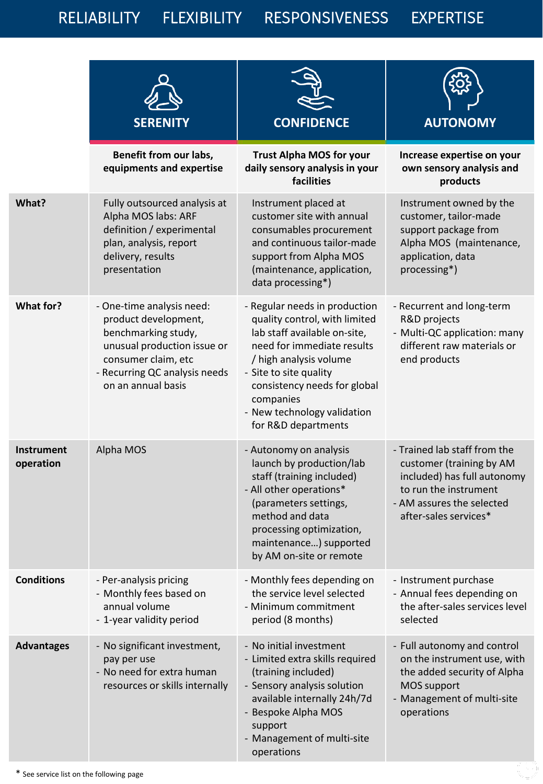RELIABILITY FLEXIBILITY RESPONSIVENESS EXPERTISE

|                                | <b>SERENITY</b>                                                                                                                                                                       | <b>CONFIDENCE</b>                                                                                                                                                                                                                                                                   | <b>AUTONOMY</b>                                                                                                                                                        |
|--------------------------------|---------------------------------------------------------------------------------------------------------------------------------------------------------------------------------------|-------------------------------------------------------------------------------------------------------------------------------------------------------------------------------------------------------------------------------------------------------------------------------------|------------------------------------------------------------------------------------------------------------------------------------------------------------------------|
|                                | Benefit from our labs,<br>equipments and expertise                                                                                                                                    | <b>Trust Alpha MOS for your</b><br>daily sensory analysis in your<br>facilities                                                                                                                                                                                                     | Increase expertise on your<br>own sensory analysis and<br>products                                                                                                     |
| What?                          | Fully outsourced analysis at<br>Alpha MOS labs: ARF<br>definition / experimental<br>plan, analysis, report<br>delivery, results<br>presentation                                       | Instrument placed at<br>customer site with annual<br>consumables procurement<br>and continuous tailor-made<br>support from Alpha MOS<br>(maintenance, application,<br>data processing*)                                                                                             | Instrument owned by the<br>customer, tailor-made<br>support package from<br>Alpha MOS (maintenance,<br>application, data<br>processing*)                               |
| <b>What for?</b>               | - One-time analysis need:<br>product development,<br>benchmarking study,<br>unusual production issue or<br>consumer claim, etc<br>- Recurring QC analysis needs<br>on an annual basis | - Regular needs in production<br>quality control, with limited<br>lab staff available on-site,<br>need for immediate results<br>/ high analysis volume<br>- Site to site quality<br>consistency needs for global<br>companies<br>- New technology validation<br>for R&D departments | - Recurrent and long-term<br>R&D projects<br>- Multi-QC application: many<br>different raw materials or<br>end products                                                |
| <b>Instrument</b><br>operation | Alpha MOS                                                                                                                                                                             | - Autonomy on analysis<br>launch by production/lab<br>staff (training included)<br>- All other operations*<br>(parameters settings,<br>method and data<br>processing optimization,<br>maintenance) supported<br>by AM on-site or remote                                             | - Trained lab staff from the<br>customer (training by AM<br>included) has full autonomy<br>to run the instrument<br>- AM assures the selected<br>after-sales services* |
| <b>Conditions</b>              | - Per-analysis pricing<br>- Monthly fees based on<br>annual volume<br>- 1-year validity period                                                                                        | - Monthly fees depending on<br>the service level selected<br>- Minimum commitment<br>period (8 months)                                                                                                                                                                              | - Instrument purchase<br>- Annual fees depending on<br>the after-sales services level<br>selected                                                                      |
| <b>Advantages</b>              | - No significant investment,<br>pay per use<br>- No need for extra human<br>resources or skills internally                                                                            | - No initial investment<br>- Limited extra skills required<br>(training included)<br>- Sensory analysis solution<br>available internally 24h/7d<br>- Bespoke Alpha MOS<br>support<br>- Management of multi-site<br>operations                                                       | - Full autonomy and control<br>on the instrument use, with<br>the added security of Alpha<br><b>MOS support</b><br>- Management of multi-site<br>operations            |